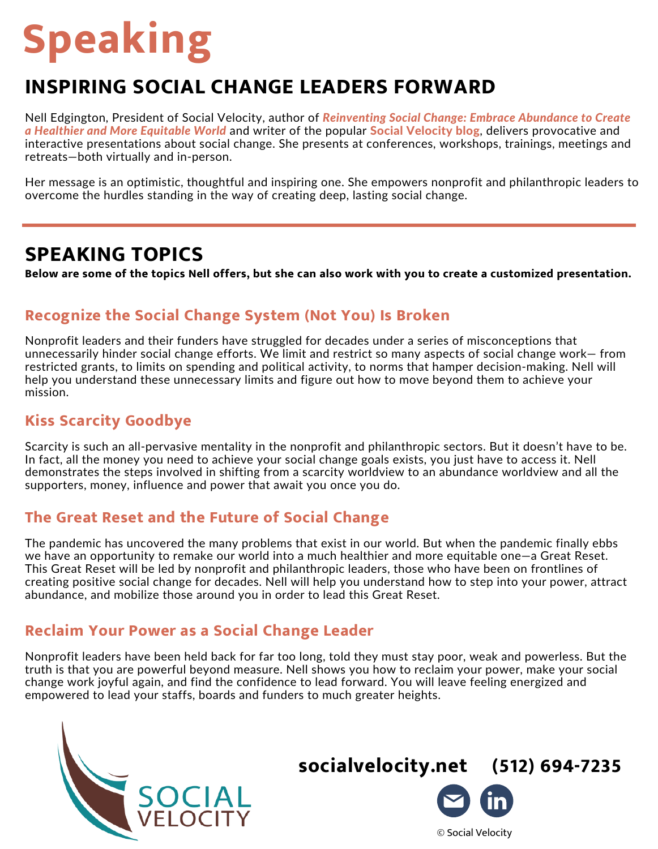# **Speaking**

# **INSPIRING SOCIAL CHANGE LEADERS FORWARD**

Nell Edgington, President of Social Velocity, author of *Reinventing Social Change: Embrace Abundance to Create a Healthier and More Equitable World* and writer of the popular Social [Velocity](https://www.socialvelocity.net/blog/) blog, delivers [provocative](https://www.socialvelocity.net/book/) and interactive presentations about social change. She presents at conferences, workshops, trainings, meetings and retreats—both virtually and in-person.

Her message is an optimistic, thoughtful and inspiring one. She empowers nonprofit and philanthropic leaders to overcome the hurdles standing in the way of creating deep, lasting social change.

# **SPEAKING TOPICS**

Below are some of the topics Nell offers, but she can also work with you to create a customized presentation.

### **Recognize the Social Change System (Not You) Is Broken**

Nonprofit leaders and their funders have struggled for decades under a series of misconceptions that unnecessarily hinder social change efforts. We limit and restrict so many aspects of social change work— from restricted grants, to limits on spending and political activity, to norms that hamper decision-making. Nell will help you understand these unnecessary limits and figure out how to move beyond them to achieve your mission.

# **Kiss Scarcity Goodbye**

Scarcity is such an all-pervasive mentality in the nonprofit and philanthropic sectors. But it doesn't have to be. In fact, all the money you need to achieve your social change goals exists, you just have to access it. Nell demonstrates the steps involved in shifting from a scarcity worldview to an abundance worldview and all the supporters, money, influence and power that await you once you do.

#### **The Great Reset and the Future of Social Change**

The pandemic has uncovered the many problems that exist in our world. But when the pandemic finally ebbs we have an opportunity to remake our world into a much healthier and more equitable one—a Great Reset. This Great Reset will be led by nonprofit and philanthropic leaders, those who have been on frontlines of creating positive social change for decades. Nell will help you understand how to step into your power, attract abundance, and mobilize those around you in order to lead this Great Reset.

## **Reclaim Your Power as a Social Change Leader**

Nonprofit leaders have been held back for far too long, told they must stay poor, weak and powerless. But the truth is that you are powerful beyond measure. Nell shows you how to reclaim your power, make your social change work joyful again, and find the confidence to lead forward. You will leave feeling energized and empowered to lead your staffs, boards and funders to much greater heights.



**[socialvelocity.net](https://www.socialvelocity.net/) (512) 694-7235**